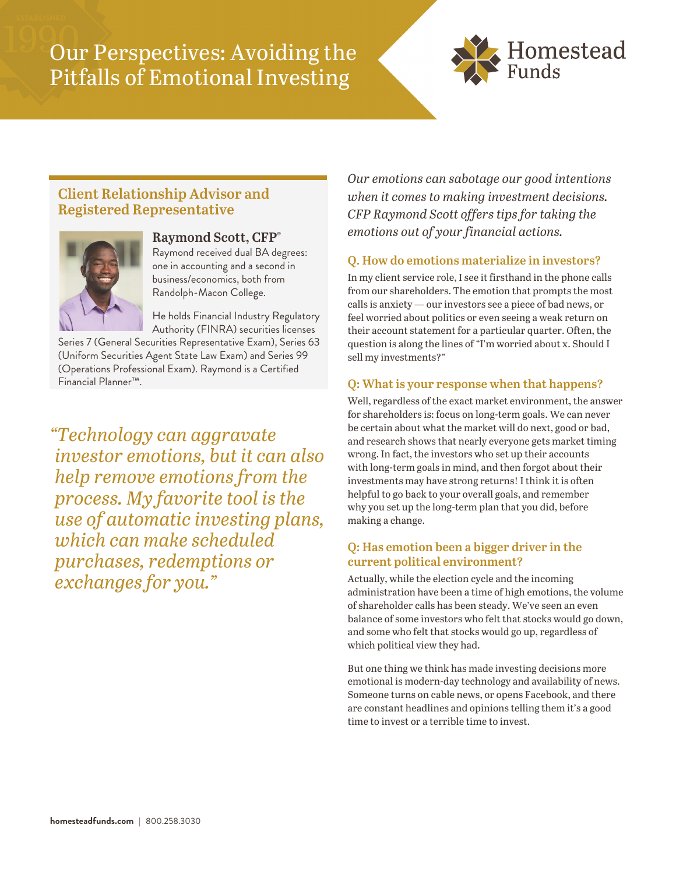# Our Perspectives: Avoiding the Pitfalls of Emotional Investing



## **Client Relationship Advisor and Registered Representative**



#### **Raymond Scott, CFP®**

Raymond received dual BA degrees: one in accounting and a second in business/economics, both from Randolph-Macon College.

He holds Financial Industry Regulatory Authority (FINRA) securities licenses

Series 7 (General Securities Representative Exam), Series 63 (Uniform Securities Agent State Law Exam) and Series 99 (Operations Professional Exam). Raymond is a Certified Financial Planner™.

*"Technology can aggravate investor emotions, but it can also help remove emotions from the process. My favorite tool is the use of automatic investing plans, which can make scheduled purchases, redemptions or exchanges for you."* 

*Our emotions can sabotage our good intentions when it comes to making investment decisions. CFP Raymond Scott offers tips for taking the emotions out of your financial actions.* 

### **Q. How do emotions materialize in investors?**

In my client service role, I see it firsthand in the phone calls from our shareholders. The emotion that prompts the most calls is anxiety — our investors see a piece of bad news, or feel worried about politics or even seeing a weak return on their account statement for a particular quarter. Often, the question is along the lines of "I'm worried about x. Should I sell my investments?"

#### **Q: What is your response when that happens?**

Well, regardless of the exact market environment, the answer for shareholders is: focus on long-term goals. We can never be certain about what the market will do next, good or bad, and research shows that nearly everyone gets market timing wrong. In fact, the investors who set up their accounts with long-term goals in mind, and then forgot about their investments may have strong returns! I think it is often helpful to go back to your overall goals, and remember why you set up the long-term plan that you did, before making a change.

#### **Q: Has emotion been a bigger driver in the current political environment?**

Actually, while the election cycle and the incoming administration have been a time of high emotions, the volume of shareholder calls has been steady. We've seen an even balance of some investors who felt that stocks would go down, and some who felt that stocks would go up, regardless of which political view they had.

But one thing we think has made investing decisions more emotional is modern-day technology and availability of news. Someone turns on cable news, or opens Facebook, and there are constant headlines and opinions telling them it's a good time to invest or a terrible time to invest.